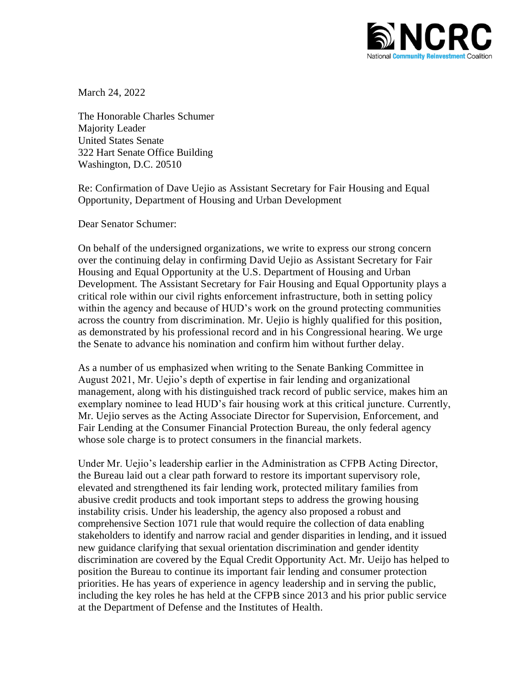

March 24, 2022

The Honorable Charles Schumer Majority Leader United States Senate 322 Hart Senate Office Building Washington, D.C. 20510

Re: Confirmation of Dave Uejio as Assistant Secretary for Fair Housing and Equal Opportunity, Department of Housing and Urban Development

Dear Senator Schumer:

On behalf of the undersigned organizations, we write to express our strong concern over the continuing delay in confirming David Uejio as Assistant Secretary for Fair Housing and Equal Opportunity at the U.S. Department of Housing and Urban Development. The Assistant Secretary for Fair Housing and Equal Opportunity plays a critical role within our civil rights enforcement infrastructure, both in setting policy within the agency and because of HUD's work on the ground protecting communities across the country from discrimination. Mr. Uejio is highly qualified for this position, as demonstrated by his professional record and in his Congressional hearing. We urge the Senate to advance his nomination and confirm him without further delay.

As a number of us emphasized when writing to the Senate Banking Committee in August 2021, Mr. Uejio's depth of expertise in fair lending and organizational management, along with his distinguished track record of public service, makes him an exemplary nominee to lead HUD's fair housing work at this critical juncture. Currently, Mr. Uejio serves as the Acting Associate Director for Supervision, Enforcement, and Fair Lending at the Consumer Financial Protection Bureau, the only federal agency whose sole charge is to protect consumers in the financial markets.

Under Mr. Uejio's leadership earlier in the Administration as CFPB Acting Director, the Bureau laid out a clear path forward to restore its important supervisory role, elevated and strengthened its fair lending work, protected military families from abusive credit products and took important steps to address the growing housing instability crisis. Under his leadership, the agency also proposed a robust and comprehensive Section 1071 rule that would require the collection of data enabling stakeholders to identify and narrow racial and gender disparities in lending, and it issued new guidance clarifying that sexual orientation discrimination and gender identity discrimination are covered by the Equal Credit Opportunity Act. Mr. Ueijo has helped to position the Bureau to continue its important fair lending and consumer protection priorities. He has years of experience in agency leadership and in serving the public, including the key roles he has held at the CFPB since 2013 and his prior public service at the Department of Defense and the Institutes of Health.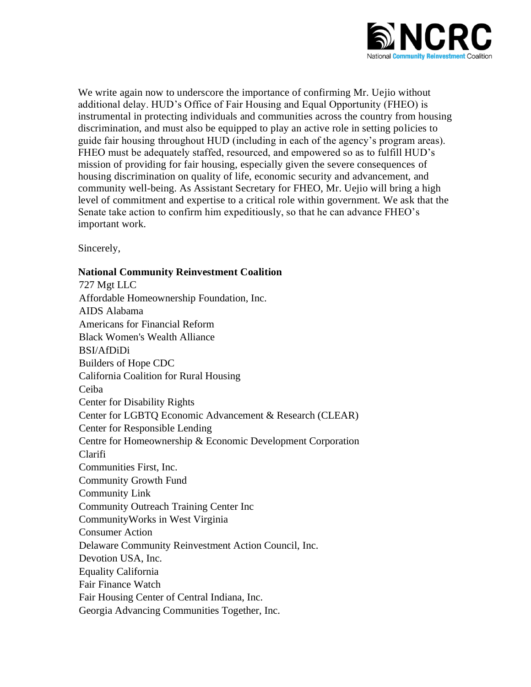

We write again now to underscore the importance of confirming Mr. Uejio without additional delay. HUD's Office of Fair Housing and Equal Opportunity (FHEO) is instrumental in protecting individuals and communities across the country from housing discrimination, and must also be equipped to play an active role in setting policies to guide fair housing throughout HUD (including in each of the agency's program areas). FHEO must be adequately staffed, resourced, and empowered so as to fulfill HUD's mission of providing for fair housing, especially given the severe consequences of housing discrimination on quality of life, economic security and advancement, and community well-being. As Assistant Secretary for FHEO, Mr. Uejio will bring a high level of commitment and expertise to a critical role within government. We ask that the Senate take action to confirm him expeditiously, so that he can advance FHEO's important work.

Sincerely,

## **National Community Reinvestment Coalition**

727 Mgt LLC Affordable Homeownership Foundation, Inc. AIDS Alabama Americans for Financial Reform Black Women's Wealth Alliance BSI/AfDiDi Builders of Hope CDC California Coalition for Rural Housing Ceiba Center for Disability Rights Center for LGBTQ Economic Advancement & Research (CLEAR) Center for Responsible Lending Centre for Homeownership & Economic Development Corporation Clarifi Communities First, Inc. Community Growth Fund Community Link Community Outreach Training Center Inc CommunityWorks in West Virginia Consumer Action Delaware Community Reinvestment Action Council, Inc. Devotion USA, Inc. Equality California Fair Finance Watch Fair Housing Center of Central Indiana, Inc. Georgia Advancing Communities Together, Inc.